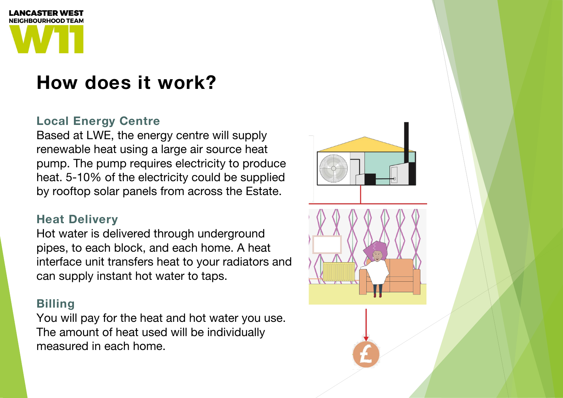## **Local Energy Centre**

Based at LWE, the energy centre will supply renewable heat using a large air source heat pump. The pump requires electricity to produce heat. 5-10% of the electricity could be supplied by rooftop solar panels from across the Estate.

### **Heat Delivery**

Hot water is delivered through underground pipes, to each block, and each home. A heat interface unit transfers heat to your radiators and can supply instant hot water to taps.

### **Billing**

You will pay for the heat and hot water you use. The amount of heat used will be individually measured in each home.





## **How does it work?**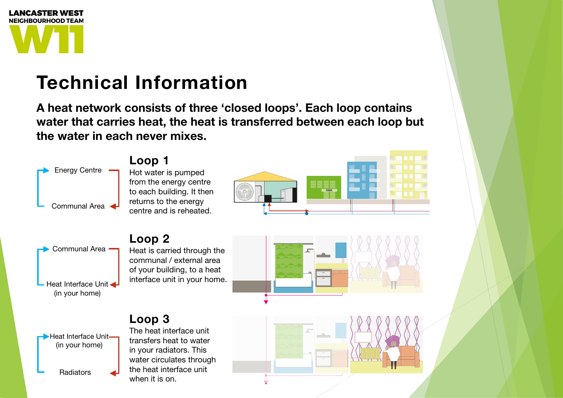A heat network consists of three 'closed loops'. Each loop contains water that carries heat, the heat is transferred between each loop but the water in each never mixes.





# **Technical Information**